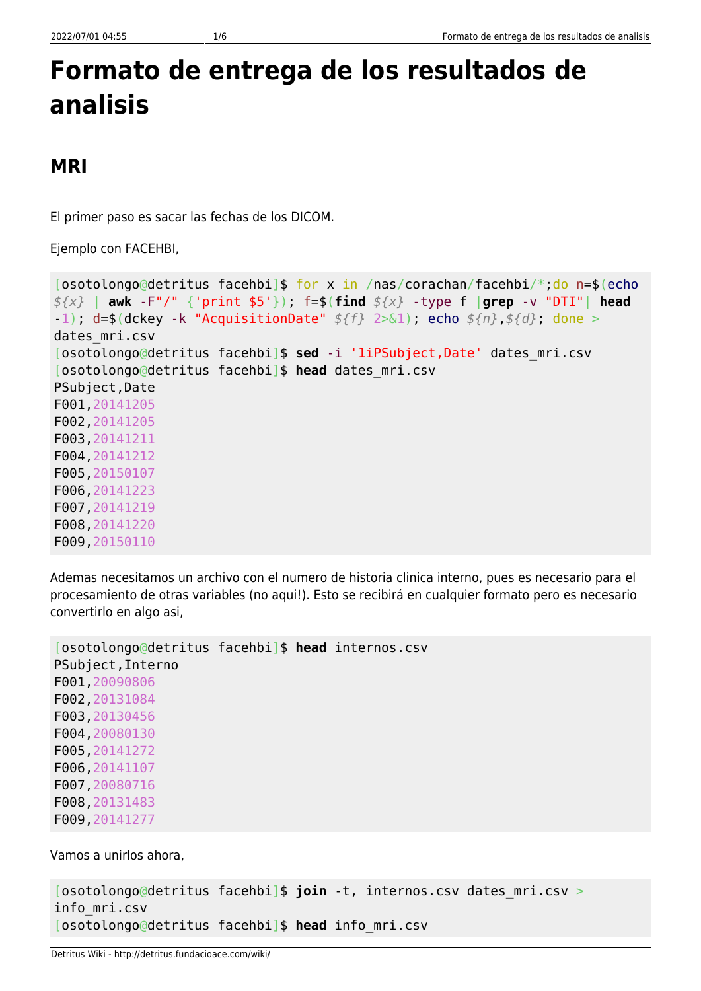## **Formato de entrega de los resultados de analisis**

## **MRI**

El primer paso es sacar las fechas de los DICOM.

Ejemplo con FACEHBI,

```
[osotolongo@detritus facehbi]$ for x in /nas/corachan/facehbi/*;do n=$(echo
${x} | awk -F"/" {'print $5'}); f=$(find ${x} -type f |grep -v "DTI"| head
-1); d=$(dckey -k "AcquisitionDate" ${f} 2>&1); echo ${n},${d}; done >
dates_mri.csv
[osotolongo@detritus facehbi]$ sed -i '1iPSubject,Date' dates_mri.csv
[osotolongo@detritus facehbi]$ head dates_mri.csv
PSubject,Date
F001,20141205
F002,20141205
F003,20141211
F004,20141212
F005,20150107
F006,20141223
F007,20141219
F008,20141220
F009,20150110
```
Ademas necesitamos un archivo con el numero de historia clinica interno, pues es necesario para el procesamiento de otras variables (no aqui!). Esto se recibirá en cualquier formato pero es necesario convertirlo en algo asi,

```
[osotolongo@detritus facehbi]$ head internos.csv
PSubject,Interno
F001,20090806
F002,20131084
F003,20130456
F004,20080130
F005,20141272
F006,20141107
F007,20080716
F008,20131483
F009,20141277
```
Vamos a unirlos ahora,

```
[osotolongo@detritus facehbi]$ join -t, internos.csv dates_mri.csv >
info_mri.csv
[osotolongo@detritus facehbi]$ head info_mri.csv
```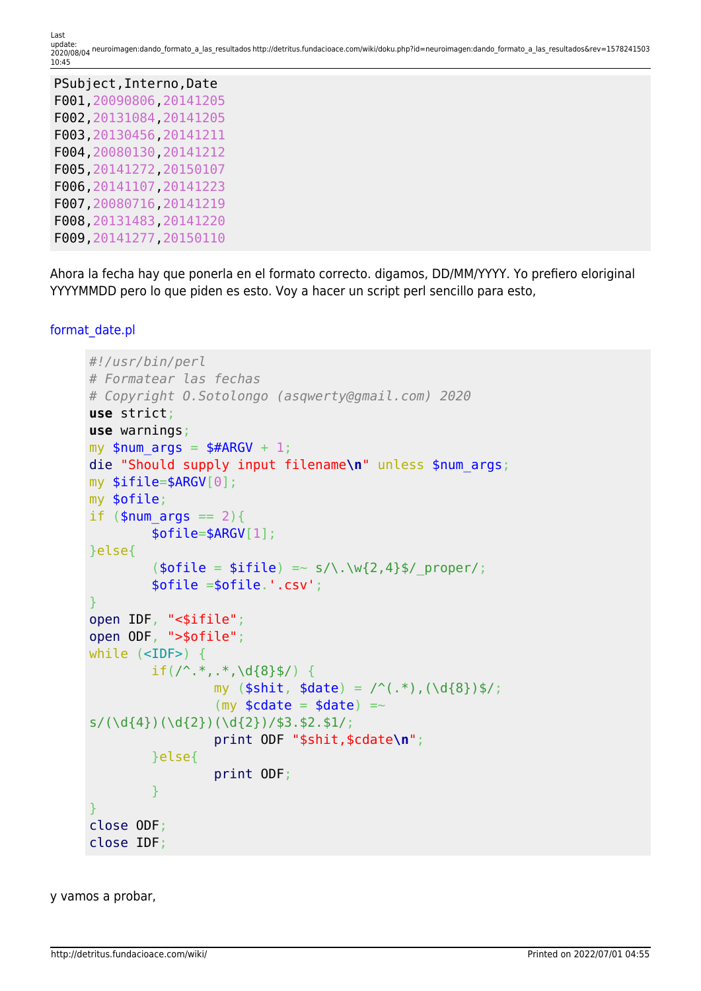| PSubject, Interno, Date  |
|--------------------------|
| F001, 20090806, 20141205 |
| F002, 20131084, 20141205 |
| F003, 20130456, 20141211 |
| F004, 20080130, 20141212 |
| F005, 20141272, 20150107 |
| F006, 20141107, 20141223 |
| F007, 20080716, 20141219 |
| F008, 20131483, 20141220 |
| F009, 20141277, 20150110 |

Ahora la fecha hay que ponerla en el formato correcto. digamos, DD/MM/YYYY. Yo prefiero eloriginal YYYYMMDD pero lo que piden es esto. Voy a hacer un script perl sencillo para esto,

```
format_date.pl
```

```
#!/usr/bin/perl
# Formatear las fechas
# Copyright O.Sotolongo (asqwerty@gmail.com) 2020
use strict;
use warnings;
my $num \text{ args} = $#ARGV + 1;die "Should supply input filename\n" unless $num_args;
my $ifile=$ARGV[0];
my $ofile;
if (\text{ $num\space args == 2) } $ofile=$ARGV[1];
}else{
          (\text{sofile} = \text{sifile}) \implies s/\.\warrow\{2,4\}\/ proper/;
           $ofile =$ofile.'.csv';
}
open IDF, "<$ifile";
open ODF, ">$ofile";
while (<IDF>) {
          if(/^.*,.*,\d{8}$/) {
                    my (\text{shift}, \text{state}) = \text{``(.*)}, (\text{d}_{8})\ /;
                    (my \text{\textlessleft} = \text{\textlessleft} = \text{\textlessleft}s/(\d{4})(\d{2})(\d{2})(\d{2})/\$3.\$2.\$1/; print ODF "$shit,$cdate\n";
           }else{
                     print ODF;
           }
}
close ODF;
close IDF;
```
y vamos a probar,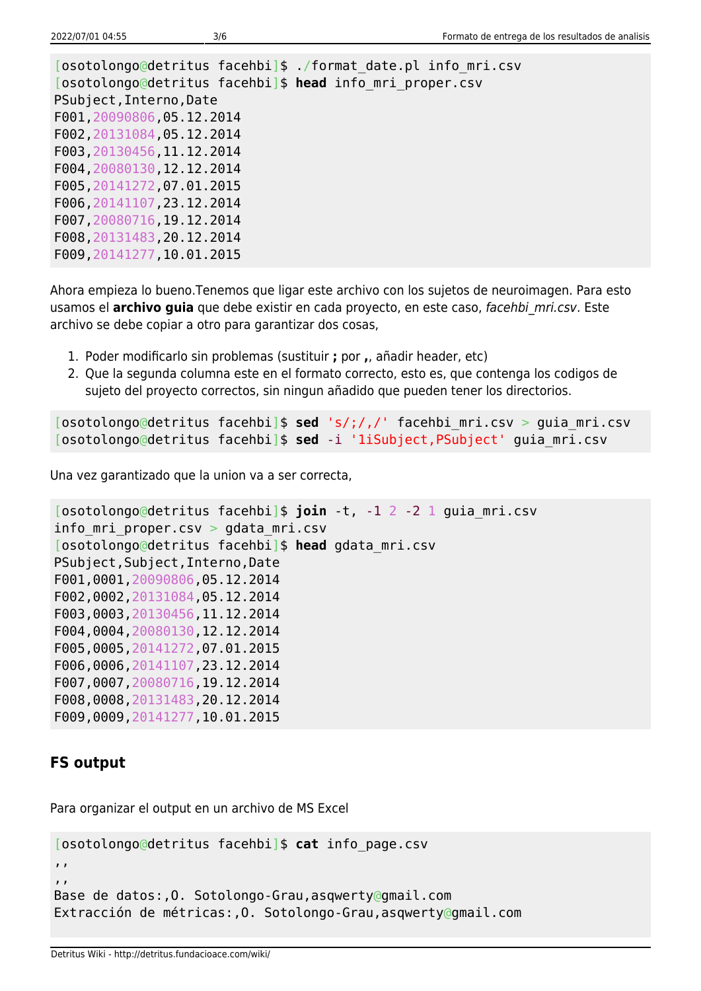[osotolongo@detritus facehbi]\$ ./format\_date.pl info\_mri.csv [osotolongo@detritus facehbi]\$ **head** info\_mri\_proper.csv PSubject,Interno,Date F001,20090806,05.12.2014 F002,20131084,05.12.2014 F003,20130456,11.12.2014 F004,20080130,12.12.2014 F005,20141272,07.01.2015 F006,20141107,23.12.2014 F007,20080716,19.12.2014 F008,20131483,20.12.2014 F009,20141277,10.01.2015

Ahora empieza lo bueno.Tenemos que ligar este archivo con los sujetos de neuroimagen. Para esto usamos el **archivo guia** que debe existir en cada proyecto, en este caso, facehbi mri.csv. Este archivo se debe copiar a otro para garantizar dos cosas,

- 1. Poder modificarlo sin problemas (sustituir **;** por **,**, añadir header, etc)
- 2. Que la segunda columna este en el formato correcto, esto es, que contenga los codigos de sujeto del proyecto correctos, sin ningun añadido que pueden tener los directorios.

[osotolongo@detritus facehbi]\$ **sed** 's/;/,/' facehbi\_mri.csv > guia\_mri.csv [osotolongo@detritus facehbi]\$ **sed** -i '1iSubject,PSubject' guia\_mri.csv

Una vez garantizado que la union va a ser correcta,

```
[osotolongo@detritus facehbi]$ join -t, -1 2 -2 1 guia_mri.csv
info_mri_proper.csv > gdata_mri.csv
[osotolongo@detritus facehbi]$ head gdata_mri.csv
PSubject,Subject,Interno,Date
F001,0001,20090806,05.12.2014
F002,0002,20131084,05.12.2014
F003,0003,20130456,11.12.2014
F004,0004,20080130,12.12.2014
F005,0005,20141272,07.01.2015
F006,0006,20141107,23.12.2014
F007,0007,20080716,19.12.2014
F008,0008,20131483,20.12.2014
F009,0009,20141277,10.01.2015
```
## **FS output**

Para organizar el output en un archivo de MS Excel

```
[osotolongo@detritus facehbi]$ cat info_page.csv
,,
,,
Base de datos:,O. Sotolongo-Grau,asqwerty@gmail.com
Extracción de métricas:,O. Sotolongo-Grau,asqwerty@gmail.com
```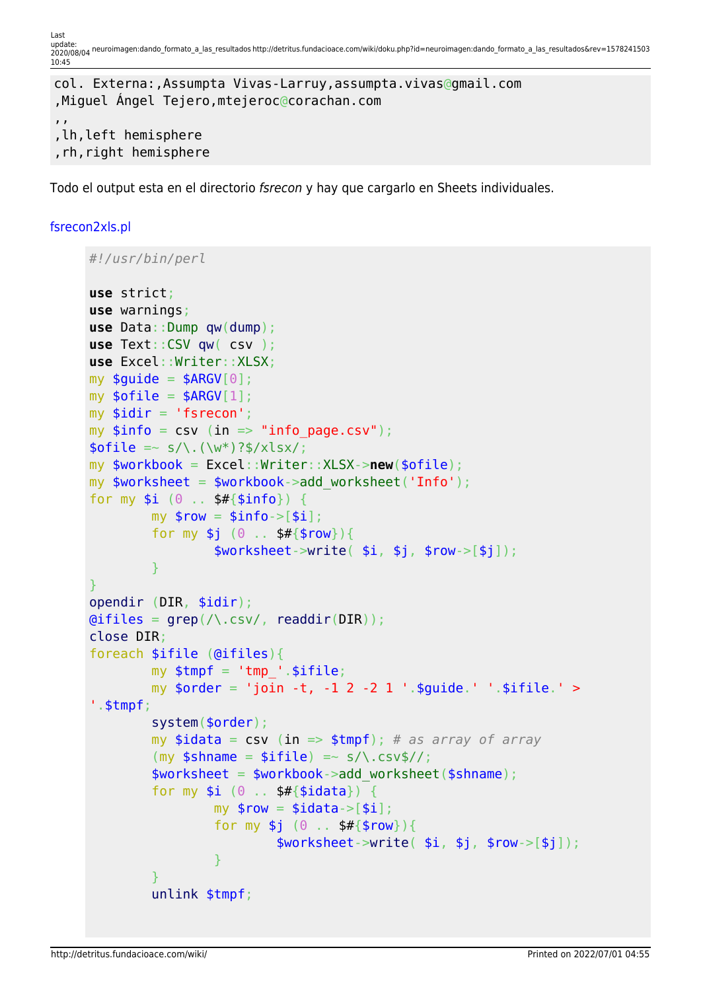Last update:<br>2020/08/04 neuroimagen:dando\_formato\_a\_las\_resultados http://detritus.fundacioace.com/wiki/doku.php?id=neuroimagen:dando\_formato\_a\_las\_resultados&rev=1578241503 10:45

```
col. Externa:,Assumpta Vivas-Larruy,assumpta.vivas@gmail.com
,Miguel Ángel Tejero,mtejeroc@corachan.com
,,
,lh,left hemisphere
,rh,right hemisphere
```
Todo el output esta en el directorio fsrecon y hay que cargarlo en Sheets individuales.

## [fsrecon2xls.pl](http://detritus.fundacioace.com/wiki/doku.php?do=export_code&id=neuroimagen:dando_formato_a_las_resultados&codeblock=8)

```
#!/usr/bin/perl
use strict;
use warnings;
use Data::Dump qw(dump);
use Text::CSV qw( csv );
use Excel::Writer::XLSX;
my $quide = $ARGV[0];my \text{softile} = \text{SARGV[1]};
my $idir = 'fsrecon';
my $info = csv (in =& "info page.csv");\text{folie} = \frac{s}{\sqrt{(w^*)}^3} / x \text{lsx};my $workbook = Excel::Writer::XLSX->new($ofile);
my $worksheet = $workbook->add_worksheet('Info');
for my $i (0 . . $#{5info}) {
         my $row = $info->[$i];for my $j (0 . . $#{$row}) {
                    $worksheet-write( $i, $j, $rowsC- }
}
opendir (DIR, $idir);
grep(\land.csv/readdir(DIR));
close DIR;
foreach $ifile (@ifiles){
         my $tmpf = 'tmp' .$ifile;my \sqrt{3} \sqrt{3} \sqrt{2} \sqrt{2} \sqrt{2} \sqrt{2} \sqrt{2} \sqrt{2} \sqrt{2} \sqrt{2} \sqrt{2} \sqrt{2} \sqrt{2} \sqrt{2} \sqrt{2} \sqrt{2} \sqrt{2} \sqrt{2} \sqrt{2} \sqrt{2} \sqrt{2} \sqrt{2} \sqrt{2} \sqrt{2} \sqrt{2} \sqrt{2} \sqrt{2} \'.$tmpf;
           system($order);
           my $idata = csv (in => $tmpf); # as array of array
          (my $shname = $ifile) =~ s/\.csv$//;
           $worksheet = $workbook->add_worksheet($shname);
          for my $i (0 .. $#{3i}data}) {
                   my $row = $idata->[§i];for my $j (0 . . $#{$row}) {
                              >write( $i, $j, $rows.]=\{x_i\}_{i=1}^n , where \{x_i\}_{i=1}^n }
           unlink $tmpf;
```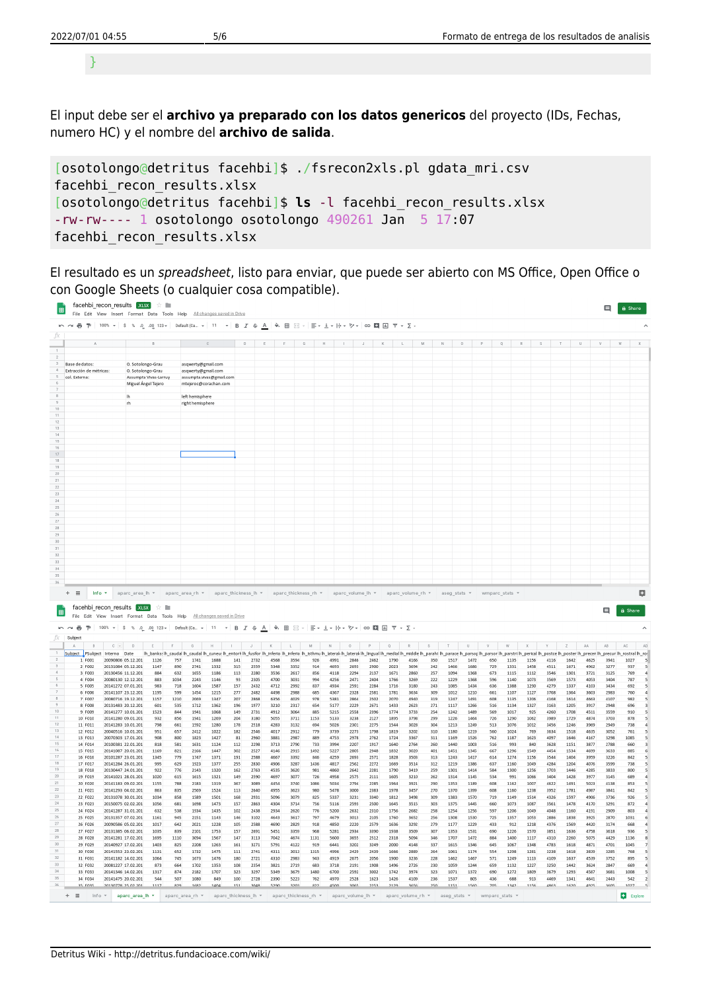}

El input debe ser el **archivo ya preparado con los datos genericos** del proyecto (IDs, Fechas, numero HC) y el nombre del **archivo de salida**.

```
[osotolongo@detritus facehbi]$ ./fsrecon2xls.pl gdata_mri.csv
facehbi_recon_results.xlsx
[osotolongo@detritus facehbi]$ ls -l facehbi_recon_results.xlsx
-rw-rw---- 1 osotolongo osotolongo 490261 Jan 5 17:07
facehbi recon results.xlsx
```
El resultado es un spreadsheet, listo para enviar, que puede ser abierto con MS Office, Open Office o con Google Sheets (o cualquier cosa compatible).